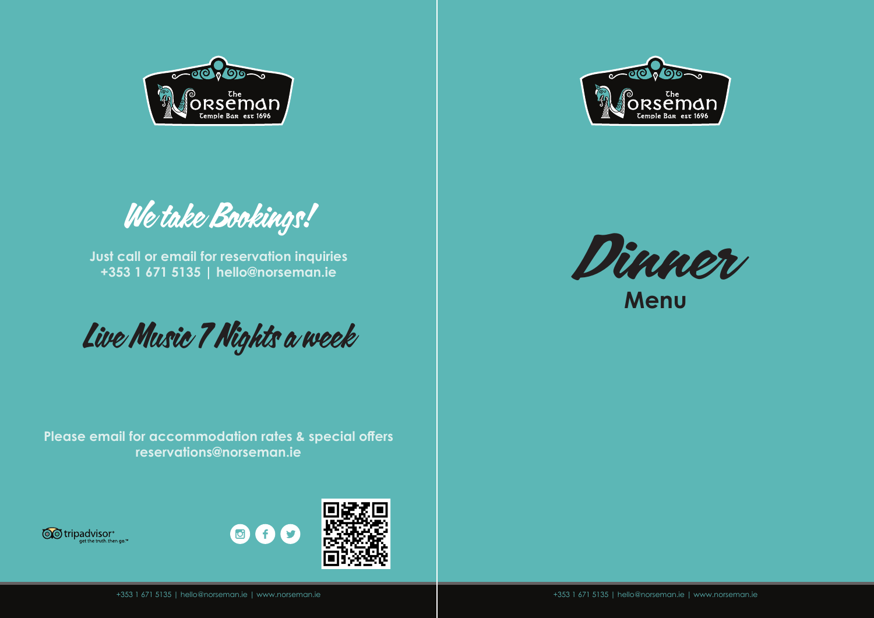

**Menu**





**Just call or email for reservation inquiries +353 1 671 5135 | hello@norseman.ie**

Live Music 7 Nights a week

**Please email for accommodation rates & special offers reservations@norseman.ie**